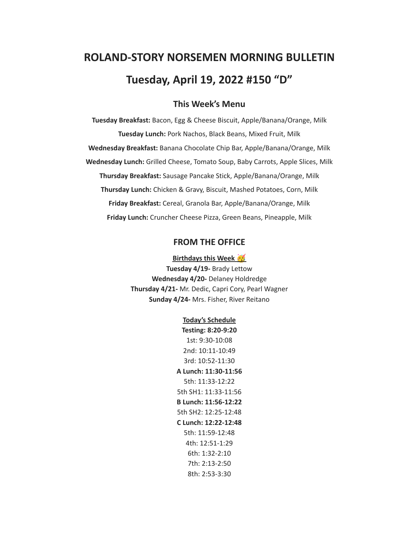# **ROLAND-STORY NORSEMEN MORNING BULLETIN Tuesday, April 19, 2022 #150 "D"**

# **This Week's Menu**

**Tuesday Breakfast:** Bacon, Egg & Cheese Biscuit, Apple/Banana/Orange, Milk **Tuesday Lunch:** Pork Nachos, Black Beans, Mixed Fruit, Milk **Wednesday Breakfast:** Banana Chocolate Chip Bar, Apple/Banana/Orange, Milk **Wednesday Lunch:** Grilled Cheese, Tomato Soup, Baby Carrots, Apple Slices, Milk **Thursday Breakfast:** Sausage Pancake Stick, Apple/Banana/Orange, Milk **Thursday Lunch:** Chicken & Gravy, Biscuit, Mashed Potatoes, Corn, Milk **Friday Breakfast:** Cereal, Granola Bar, Apple/Banana/Orange, Milk **Friday Lunch:** Cruncher Cheese Pizza, Green Beans, Pineapple, Milk

#### **FROM THE OFFICE**

**Birthdays this Week Tuesday 4/19-** Brady Lettow **Wednesday 4/20-** Delaney Holdredge **Thursday 4/21-** Mr. Dedic, Capri Cory, Pearl Wagner **Sunday 4/24-** Mrs. Fisher, River Reitano

> **Today's Schedule Testing: 8:20-9:20** 1st: 9:30-10:08 2nd: 10:11-10:49 3rd: 10:52-11:30 **A Lunch: 11:30-11:56** 5th: 11:33-12:22 5th SH1: 11:33-11:56 **B Lunch: 11:56-12:22** 5th SH2: 12:25-12:48 **C Lunch: 12:22-12:48** 5th: 11:59-12:48 4th: 12:51-1:29 6th: 1:32-2:10 7th: 2:13-2:50 8th: 2:53-3:30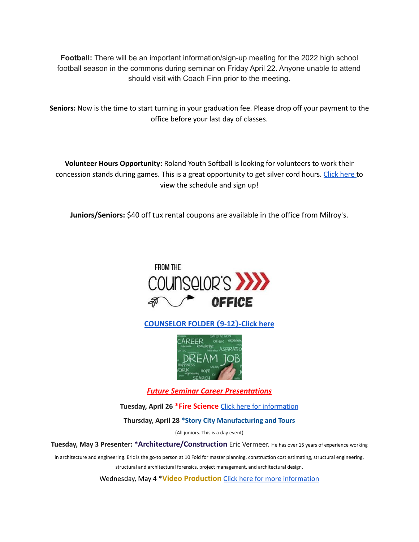**Football:** There will be an important information/sign-up meeting for the 2022 high school football season in the commons during seminar on Friday April 22. Anyone unable to attend should visit with Coach Finn prior to the meeting.

**Seniors:** Now is the time to start turning in your graduation fee. Please drop off your payment to the office before your last day of classes.

**Volunteer Hours Opportunity:** Roland Youth Softball is looking for volunteers to work their concession stands during games. This is a great opportunity to get silver cord hours. [Click](https://www.signupgenius.com/go/70a094facac2aa0f85-roland1) here to view the schedule and sign up!

**Juniors/Seniors:** \$40 off tux rental coupons are available in the office from Milroy's.



**[COUNSELOR FOLDER](https://docs.google.com/document/d/1vmwczNPbDzXe9vFaG5LJMQ7NYDv-i4oQJHybqA65TUc/edit?usp=sharing) (9-12)-Click here**



*Future Seminar Career Presentations*

**Tuesday, April 26 \*Fire Science** Click here for [information](https://www.dmacc.edu/programs/fire/Pages/welcome.aspx)

**Thursday, April 28 \*Story City Manufacturing and Tours**

(All juniors. This is a day event)

**Tuesday, May 3 Presenter: \*Architecture/Construction** Eric Vermeer. He has over <sup>15</sup> years of experience working

in architecture and engineering. Eric is the go-to person at 10 Fold for master planning, construction cost estimating, structural engineering,

structural and architectural forensics, project management, and architectural design.

Wednesday, May 4 \***Video Production** Click here for more [information](https://www.dmacc.edu/programs/video/Pages/welcome.aspx)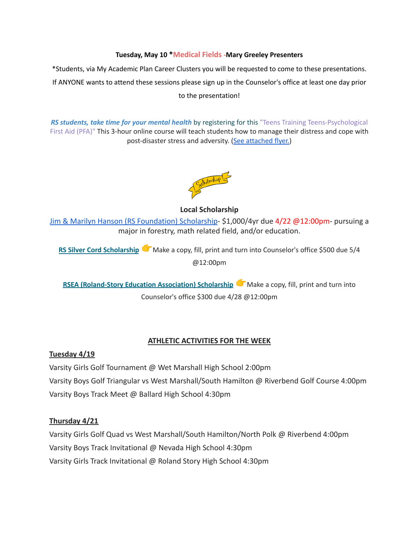#### **Tuesday, May 10 \*Medical Fields -Mary Greeley Presenters**

\*Students, via My Academic Plan Career Clusters you will be requested to come to these presentations. If ANYONE wants to attend these sessions please sign up in the Counselor's office at least one day prior to the presentation!

*RS students, take time for your mental health* by registering for this "Teens Training Teens-Psychological First Aid (PFA)" This 3-hour online course will teach students how to manage their distress and cope with post-disaster stress and adversity. (See [attached](https://drive.google.com/file/d/18ZxsDgb9mTVccDP5AD1ejwqoEi1MNUwE/view?usp=sharing) flyer.)



**Local Scholarship**

[Jim & Marilyn Hanson \(RS Foundation\) Scholarship](https://docs.google.com/document/d/1ZTlh8dBWKYLTE2ZXAX8cFE_071yzMHCiRBXRqeR_Sv8/edit?usp=sharing)- \$1,000/4yr due 4/22 @12:00pm- pursuing a major in forestry, math related field, and/or education.

**RS Silver Cord [Scholarship](https://docs.google.com/document/d/12og0k5MTIc1OeFEzEig2sJZbI5ykSKtMlEJRu1iKhdA/edit?usp=sharing)** Make a copy, fill, print and turn into Counselor's office \$500 due 5/4 @12:00pm

**RSEA [\(Roland-Story](https://docs.google.com/document/d/1YwFGXKN4fBAFzL5lRATvKspYv1CbagujvEZKrQq0Kcg/edit?usp=sharing) Education Association) Scholarship** Make a copy, fill, print and turn into Counselor's office \$300 due 4/28 @12:00pm

#### **ATHLETIC ACTIVITIES FOR THE WEEK**

#### **Tuesday 4/19**

Varsity Girls Golf Tournament @ Wet Marshall High School 2:00pm Varsity Boys Golf Triangular vs West Marshall/South Hamilton @ Riverbend Golf Course 4:00pm Varsity Boys Track Meet @ Ballard High School 4:30pm

#### **Thursday 4/21**

Varsity Girls Golf Quad vs West Marshall/South Hamilton/North Polk @ Riverbend 4:00pm Varsity Boys Track Invitational @ Nevada High School 4:30pm Varsity Girls Track Invitational @ Roland Story High School 4:30pm